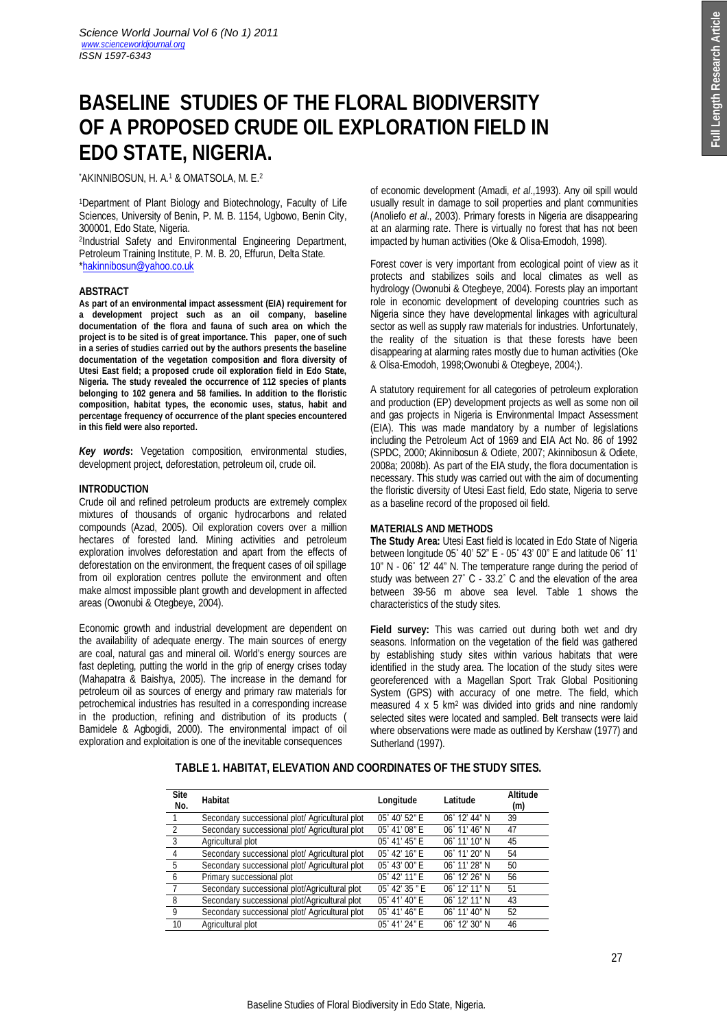# **BASELINE STUDIES OF THE FLORAL BIODIVERSITY OF A PROPOSED CRUDE OIL EXPLORATION FIELD IN EDO STATE, NIGERIA.**

\*AKINNIBOSUN, H. A.<sup>1</sup> & OMATSOLA, M. E.<sup>2</sup>

<sup>1</sup>Department of Plant Biology and Biotechnology, Faculty of Life Sciences, University of Benin, P. M. B. 1154, Ugbowo, Benin City, 300001, Edo State, Nigeria.

2 Industrial Safety and Environmental Engineering Department, Petroleum Training Institute, P. M. B. 20, Effurun, Delta State. \*hakinnibosun@yahoo.co.uk

# **ABSTRACT**

**As part of an environmental impact assessment (EIA) requirement for a development project such as an oil company, baseline documentation of the flora and fauna of such area on which the project is to be sited is of great importance. This paper, one of such in a series of studies carried out by the authors presents the baseline documentation of the vegetation composition and flora diversity of Utesi East field; a proposed crude oil exploration field in Edo State, Nigeria. The study revealed the occurrence of 112 species of plants belonging to 102 genera and 58 families. In addition to the floristic composition, habitat types, the economic uses, status, habit and percentage frequency of occurrence of the plant species encountered in this field were also reported.**

*Key words***:** Vegetation composition, environmental studies, development project, deforestation, petroleum oil, crude oil.

# **INTRODUCTION**

Crude oil and refined petroleum products are extremely complex mixtures of thousands of organic hydrocarbons and related compounds (Azad, 2005). Oil exploration covers over a million hectares of forested land. Mining activities and petroleum exploration involves deforestation and apart from the effects of deforestation on the environment, the frequent cases of oil spillage from oil exploration centres pollute the environment and often make almost impossible plant growth and development in affected areas (Owonubi & Otegbeye, 2004).

Economic growth and industrial development are dependent on the availability of adequate energy. The main sources of energy are coal, natural gas and mineral oil. World's energy sources are fast depleting, putting the world in the grip of energy crises today (Mahapatra & Baishya, 2005). The increase in the demand for petroleum oil as sources of energy and primary raw materials for petrochemical industries has resulted in a corresponding increase in the production, refining and distribution of its products ( Bamidele & Agbogidi, 2000). The environmental impact of oil exploration and exploitation is one of the inevitable consequences

of economic development (Amadi, *et al*.,1993). Any oil spill would usually result in damage to soil properties and plant communities (Anoliefo *et al*., 2003). Primary forests in Nigeria are disappearing at an alarming rate. There is virtually no forest that has not been impacted by human activities (Oke & Olisa-Emodoh, 1998).

Forest cover is very important from ecological point of view as it protects and stabilizes soils and local climates as well as hydrology (Owonubi & Otegbeye, 2004). Forests play an important role in economic development of developing countries such as Nigeria since they have developmental linkages with agricultural sector as well as supply raw materials for industries. Unfortunately, the reality of the situation is that these forests have been disappearing at alarming rates mostly due to human activities (Oke & Olisa-Emodoh, 1998;Owonubi & Otegbeye, 2004;).

A statutory requirement for all categories of petroleum exploration and production (EP) development projects as well as some non oil and gas projects in Nigeria is Environmental Impact Assessment (EIA). This was made mandatory by a number of legislations including the Petroleum Act of 1969 and EIA Act No. 86 of 1992 (SPDC, 2000; Akinnibosun & Odiete, 2007; Akinnibosun & Odiete, 2008a; 2008b). As part of the EIA study, the flora documentation is necessary. This study was carried out with the aim of documenting the floristic diversity of Utesi East field, Edo state, Nigeria to serve as a baseline record of the proposed oil field.

# **MATERIALS AND METHODS**

**The Study Area:** Utesi East field is located in Edo State of Nigeria between longitude 05˚ 40' 52" E - 05˚ 43' 00" E and latitude 06˚ 11' 10" N - 06˚ 12' 44" N. The temperature range during the period of study was between 27˚ C - 33.2˚ C and the elevation of the area between 39-56 m above sea level. Table 1 shows the characteristics of the study sites.

**Field survey:** This was carried out during both wet and dry seasons. Information on the vegetation of the field was gathered by establishing study sites within various habitats that were identified in the study area. The location of the study sites were georeferenced with a Magellan Sport Trak Global Positioning System (GPS) with accuracy of one metre. The field, which measured 4 x 5 km<sup>2</sup> was divided into grids and nine randomly selected sites were located and sampled. Belt transects were laid where observations were made as outlined by Kershaw (1977) and Sutherland (1997).

| <b>Site</b><br>No.      | Habitat                                        | Longitude              | Latitude               | <b>Altitude</b><br>(m) |
|-------------------------|------------------------------------------------|------------------------|------------------------|------------------------|
|                         | Secondary successional plot/ Agricultural plot | 05° 40′ 52″ E          | $06^{\circ}$ 12' 44" N | 39                     |
| $\overline{2}$          | Secondary successional plot/ Agricultural plot | 05° 41' 08" E          | $06^{\circ}$ 11' 46" N | 47                     |
| $\overline{\mathbf{3}}$ | Agricultural plot                              | 05° 41′ 45″ E          | $06^{\circ}$ 11' 10" N | 45                     |
| $\overline{4}$          | Secondary successional plot/ Agricultural plot | $05^{\circ}$ 42' 16" E | 06° 11' 20" N          | 54                     |
| 5                       | Secondary successional plot/ Agricultural plot | $05^{\circ}$ 43' 00" E | 06° 11′ 28″ N          | 50                     |
| 6                       | Primary successional plot                      | 05° 42' 11" E          | 06° 12' 26" N          | 56                     |
| $\overline{7}$          | Secondary successional plot/Agricultural plot  | 05° 42′ 35″ E          | 06° 12' 11" N          | 51                     |
| 8                       | Secondary successional plot/Agricultural plot  | 05° 41' 40" E          | $06^{\circ}$ 12' 11" N | 43                     |
| - 9                     | Secondary successional plot/ Agricultural plot | $05^{\circ}$ 41' 46" E | $06^{\circ}$ 11' 40" N | 52                     |
| 10                      | Agricultural plot                              | 05° 41' 24" E          | $06^{\circ}$ 12' 30" N | 46                     |

# **TABLE 1. HABITAT, ELEVATION AND COORDINATES OF THE STUDY SITES.**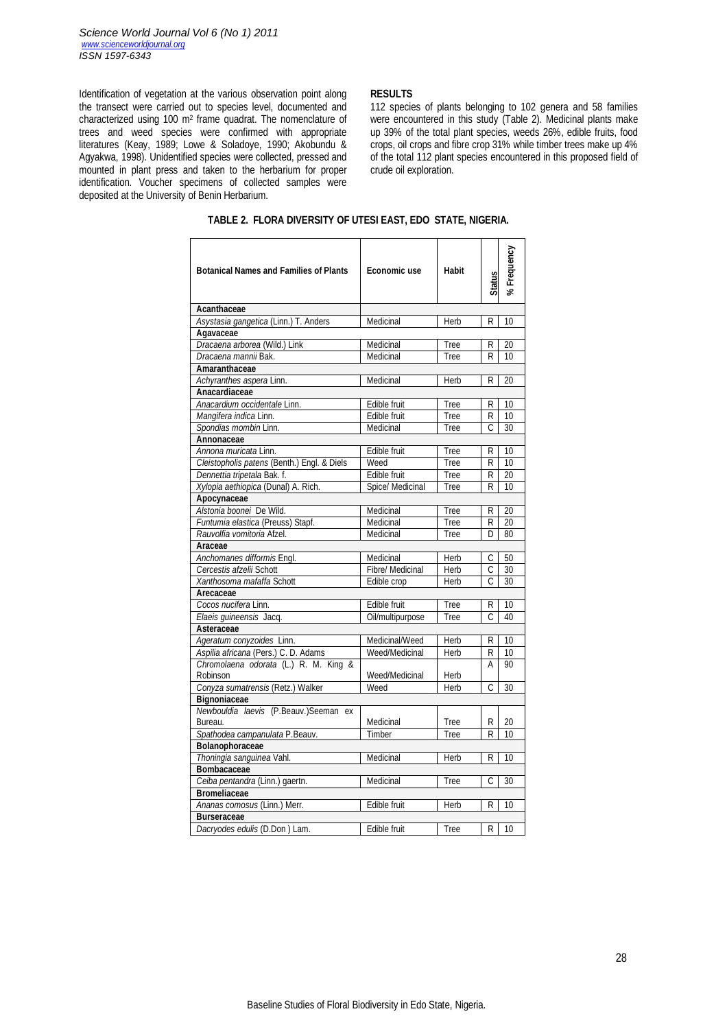Identification of vegetation at the various observation point along the transect were carried out to species level, documented and characterized using 100 m<sup>2</sup> frame quadrat. The nomenclature of trees and weed species were confirmed with appropriate literatures (Keay, 1989; Lowe & Soladoye, 1990; Akobundu & Agyakwa, 1998). Unidentified species were collected, pressed and mounted in plant press and taken to the herbarium for proper identification. Voucher specimens of collected samples were deposited at the University of Benin Herbarium.

#### **RESULTS**

112 species of plants belonging to 102 genera and 58 families were encountered in this study (Table 2). Medicinal plants make up 39% of the total plant species, weeds 26%, edible fruits, food crops, oil crops and fibre crop 31% while timber trees make up 4% of the total 112 plant species encountered in this proposed field of crude oil exploration.

| <b>Botanical Names and Families of Plants</b> | <b>Economic use</b>     | Habit | <b>Status</b> | %Frequency      |
|-----------------------------------------------|-------------------------|-------|---------------|-----------------|
| Acanthaceae                                   |                         |       |               |                 |
| Asystasia gangetica (Linn.) T. Anders         | Medicinal               | Herb  | R             | 10              |
| Agavaceae                                     |                         |       |               |                 |
| Dracaena arborea (Wild.) Link                 | Medicinal               | Tree  | R             | 20              |
| Dracaena mannii Bak.                          | Medicinal               | Tree  | R             | 10              |
| Amaranthaceae                                 |                         |       |               |                 |
| Achyranthes aspera Linn.                      | Medicinal               | Herb  | R             | 20              |
| Anacardiaceae                                 |                         |       |               |                 |
| Anacardium occidentale Linn.                  | Edible fruit            | Tree  | R             | 10              |
| Mangifera indica Linn.                        | Edible fruit            | Tree  | R             | 10              |
| Spondias mombin Linn.                         | Medicinal               | Tree  | Ċ             | 30              |
| <b>Annonaceae</b>                             |                         |       |               |                 |
| Annona muricata Linn.                         | Edible fruit            | Tree  | R             | 10              |
| Cleistopholis patens (Benth.) Engl. & Diels   | Weed                    | Tree  | R             | 10              |
| Dennettia tripetala Bak. f.                   | Edible fruit            | Tree  | R             | $\overline{20}$ |
| Xylopia aethiopica (Dunal) A. Rich.           | Spice/ Medicinal        | Tree  | R             | 10              |
| Apocynaceae                                   |                         |       |               |                 |
| Alstonia boonei De Wild.                      | Medicinal               | Tree  | R             | 20              |
| Funtumia elastica (Preuss) Stapf.             | Medicinal               | Tree  | R             | 20              |
| Rauvolfia vomitoria Afzel.                    | Medicinal               | Tree  | D             | 80              |
| Araceae                                       |                         |       |               |                 |
| Anchomanes difformis Engl.                    | Medicinal               | Herb  | C.            | 50              |
| Cercestis afzelii Schott                      | <b>Fibre/ Medicinal</b> | Herb  | C             | 30              |
| Xanthosoma mafaffa Schott                     | Edible crop             | Herb  | C.            | 30              |
| Arecaceae                                     |                         |       |               |                 |
| Cocos nucifera Linn.                          | Edible fruit            | Tree  | R             | 10              |
| Elaeis guineensis Jacq.                       | Oil/multipurpose        | Tree  | Ċ             | 40              |
| Asteraceae                                    |                         |       |               |                 |
| Ageratum conyzoides Linn.                     | Medicinal/Weed          | Herb  | R             | 10              |
| Aspilia africana (Pers.) C. D. Adams          | Weed/Medicinal          | Herb  | R             | 10              |
| Chromolaena odorata (L.) R. M. King &         |                         |       | Α             | 90              |
| Robinson                                      | Weed/Medicinal          | Herb  |               |                 |
| Conyza sumatrensis (Retz.) Walker             | Weed                    | Herb  | C             | 30              |
| <b>Bignoniaceae</b>                           |                         |       |               |                 |
| Newbouldia laevis (P.Beauv.)Seeman ex         |                         |       |               |                 |
| Bureau.                                       | Medicinal               | Tree  | R             | 20              |
| Spathodea campanulata P.Beauv.                | Timber                  | Tree  | R             | 10              |
| Bolanophoraceae                               |                         |       |               |                 |
| Thoningia sanguinea Vahl.                     | Medicinal               | Herb  | R             | 10              |
| Bombacaceae                                   |                         |       |               |                 |
| Ceiba pentandra (Linn.) gaertn.               | Medicinal               | Tree  | C             | 30              |
| <b>Bromeliaceae</b>                           |                         |       |               |                 |
| Ananas comosus (Linn.) Merr.                  | Edible fruit            | Herb  | R             | 10              |
| <b>Burseraceae</b>                            |                         |       |               |                 |
| Dacryodes edulis (D.Don) Lam.                 | Edible fruit            | Tree  | R I           | 10              |

# **TABLE 2. FLORA DIVERSITY OF UTESI EAST, EDO STATE, NIGERIA.**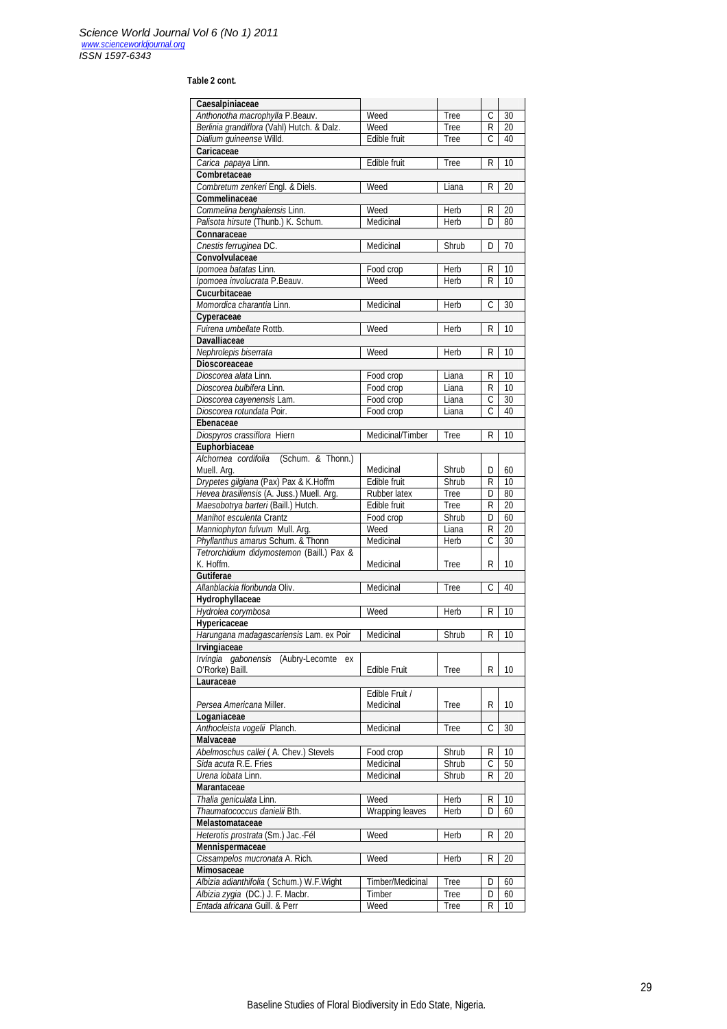# **Table 2 cont.**

| Caesalpiniaceae                                        |                        |                |                              |                       |  |
|--------------------------------------------------------|------------------------|----------------|------------------------------|-----------------------|--|
| Anthonotha macrophylla P.Beauv.                        | Weed                   | Tree           | $\overline{C}$               | 30                    |  |
| Berlinia grandiflora (Vahl) Hutch. & Dalz.             | Weed                   | Tree           | R                            | 20                    |  |
| Dialium guineense Willd.                               | Edible fruit           | Tree           | C                            | 40                    |  |
| Caricaceae                                             |                        |                |                              |                       |  |
| Carica papaya Linn.                                    | Edible fruit           | Tree           | R                            | 10                    |  |
| Combretaceae                                           |                        |                |                              |                       |  |
| Combretum zenkeri Engl. & Diels.                       | Weed                   | Liana          | R                            | 20                    |  |
| Commelinaceae<br>Commelina benghalensis Linn.          | Weed                   | Herb           | R                            | 20                    |  |
| Palisota hirsute (Thunb.) K. Schum.                    | Medicinal              | Herb           | D                            | 80                    |  |
| Connaraceae                                            |                        |                |                              |                       |  |
| Cnestis ferruginea DC.                                 | Medicinal              | Shrub          | D                            | 70                    |  |
| Convolvulaceae                                         |                        |                |                              |                       |  |
| Ipomoea batatas Linn.                                  | Food crop              | Herb           | R                            | 10                    |  |
| Ipomoea involucrata P.Beauv.                           | Weed                   | Herb           | R                            | 10                    |  |
| Cucurbitaceae                                          |                        |                |                              |                       |  |
| Momordica charantia Linn.                              | Medicinal              | Herb           | С                            | 30                    |  |
| Cyperaceae                                             |                        |                |                              |                       |  |
| Fuirena umbellate Rottb.                               | Weed                   | Herb           | R                            | 10                    |  |
| <b>Davalliaceae</b>                                    |                        |                |                              |                       |  |
| Nephrolepis biserrata                                  | Weed                   | Herb           | R                            | 10                    |  |
| <b>Dioscoreaceae</b>                                   |                        |                |                              |                       |  |
| Dioscorea alata Linn.                                  | Food crop              | Liana          | R.                           | 10                    |  |
| Dioscorea bulbifera Linn.                              | Food crop              | Liana          | R<br>$\overline{\mathsf{C}}$ | 10<br>$\overline{30}$ |  |
| Dioscorea cayenensis Lam.<br>Dioscorea rotundata Poir. | Food crop<br>Food crop | Liana<br>Liana | С                            | 40                    |  |
| Ebenaceae                                              |                        |                |                              |                       |  |
| Diospyros crassiflora Hiern                            | Medicinal/Timber       | Tree           | R                            | 10                    |  |
| Euphorbiaceae                                          |                        |                |                              |                       |  |
| Alchornea cordifolia (Schum. & Thonn.)                 |                        |                |                              |                       |  |
| Muell. Arg.                                            | Medicinal              | Shrub          | D                            | 60                    |  |
| Drypetes gilgiana (Pax) Pax & K.Hoffm                  | Edible fruit           | Shrub          | R                            | 10                    |  |
| Hevea brasiliensis (A. Juss.) Muell. Arg.              | Rubber latex           | Tree           | D                            | 80                    |  |
| Maesobotrya barteri (Baill.) Hutch.                    | Edible fruit           | <b>Tree</b>    | R                            | 20                    |  |
| Manihot esculenta Crantz                               | Food crop              | Shrub          | D                            | 60                    |  |
| Manniophyton fulvum Mull. Arg.                         | Weed                   | Liana          | R                            | 20                    |  |
| Phyllanthus amarus Schum. & Thonn                      | Medicinal              | Herb           | C                            | 30                    |  |
| Tetrorchidium didymostemon (Baill.) Pax &              |                        |                |                              |                       |  |
| K. Hoffm.                                              | Medicinal              | Tree           | R                            | 10                    |  |
| <b>Gutiferae</b><br>Allanblackia floribunda Oliv.      |                        |                | C                            | 40                    |  |
| Hydrophyllaceae                                        | Medicinal              | Tree           |                              |                       |  |
| Hydrolea corymbosa                                     | Weed                   | Herb           | R                            | 10                    |  |
| Hypericaceae                                           |                        |                |                              |                       |  |
| Harungana madagascariensis Lam. ex Poir                | Medicinal              | Shrub          | R                            | 10                    |  |
| Irvingiaceae                                           |                        |                |                              |                       |  |
| Irvingia gabonensis (Aubry-Lecomte ex                  |                        |                |                              |                       |  |
| O'Rorke) Baill.                                        | <b>Edible Fruit</b>    | Tree           | R                            | 10                    |  |
| Lauraceae                                              |                        |                |                              |                       |  |
|                                                        | Edible Fruit /         |                |                              |                       |  |
| Persea Americana Miller.                               | Medicinal              | <b>Tree</b>    | R                            | 10                    |  |
| Loganiaceae                                            |                        |                |                              |                       |  |
| Anthocleista vogelii Planch.                           | Medicinal              | Tree           | С                            | 30                    |  |
| <b>Malvaceae</b>                                       |                        |                |                              |                       |  |
| Abelmoschus callei (A. Chev.) Stevels                  | Food crop              | Shrub          | R                            | 10                    |  |
| Sida acuta R.E. Fries                                  | Medicinal              | Shrub          | С                            | 50                    |  |
| Urena lobata Linn.<br><b>Marantaceae</b>               | Medicinal              | Shrub          | R                            | 20                    |  |
| Thalia geniculata Linn.                                | Weed                   | Herb           | R                            | 10                    |  |
| Thaumatococcus danielii Bth.                           | Wrapping leaves        | Herb           | D                            | 60                    |  |
| <b>Melastomataceae</b>                                 |                        |                |                              |                       |  |
| Heterotis prostrata (Sm.) Jac.-Fél                     | Weed                   | Herb           | R                            | 20                    |  |
| Mennispermaceae                                        |                        |                |                              |                       |  |
| Cissampelos mucronata A. Rich.                         | Weed                   | Herb           | R                            | 20                    |  |
| Mimosaceae                                             |                        |                |                              |                       |  |
| Albizia adianthifolia (Schum.) W.F. Wight              | Timber/Medicinal       | Tree           | D                            | 60                    |  |
| Albizia zygia (DC.) J. F. Macbr.                       | Timber                 | Tree           | D                            | 60                    |  |
| Entada africana Guill. & Perr                          | Weed                   | <b>Tree</b>    | R                            | 10                    |  |
|                                                        |                        |                |                              |                       |  |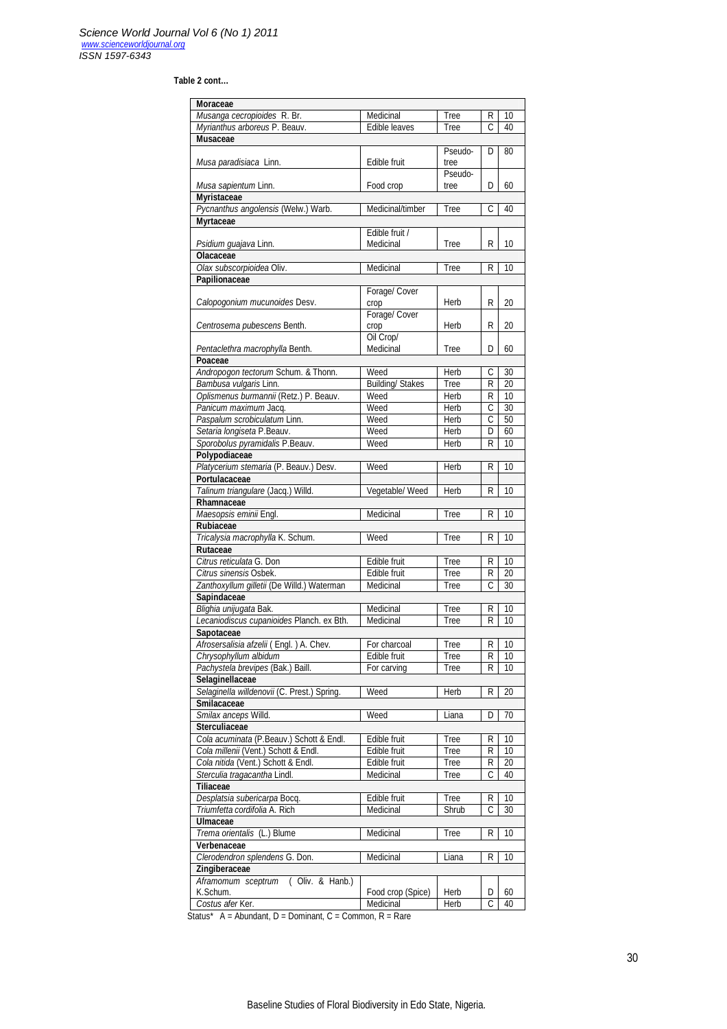# **Table 2 cont…**

| Moraceae                                    |                         |                 |                |                 |
|---------------------------------------------|-------------------------|-----------------|----------------|-----------------|
| Musanga cecropioides R. Br.                 | Medicinal               | Tree            | R              | 10              |
| Myrianthus arboreus P. Beauv.               | Edible leaves           | Tree            | C              | 40              |
| <b>Musaceae</b>                             |                         |                 |                |                 |
| Musa paradisiaca Linn.                      | Edible fruit            | Pseudo-<br>tree | D              | 80              |
| Musa sapientum Linn.<br><b>Myristaceae</b>  | Food crop               | Pseudo-<br>tree | D              | 60              |
| Pycnanthus angolensis (Welw.) Warb.         | Medicinal/timber        | Tree            | Ċ              | 40              |
| <b>Myrtaceae</b>                            |                         |                 |                |                 |
|                                             | Edible fruit /          |                 |                |                 |
| Psidium guajava Linn.<br><b>Olacaceae</b>   | Medicinal               | Tree            | R              | 10              |
| Olax subscorpioidea Oliv.                   | Medicinal               | Tree            | R              | 10              |
| Papilionaceae                               |                         |                 |                |                 |
|                                             | Forage/ Cover           |                 |                |                 |
| Calopogonium mucunoides Desv.               | crop                    | Herb            | R              | 20              |
|                                             | Forage/ Cover           |                 |                |                 |
|                                             |                         |                 |                |                 |
| Centrosema pubescens Benth.                 | crop                    | Herb            | R              | 20              |
|                                             | Oil Crop/               |                 |                |                 |
| Pentaclethra macrophylla Benth.             | Medicinal               | Tree            | D              | 60              |
| Poaceae                                     |                         |                 |                |                 |
| Andropogon tectorum Schum. & Thonn.         | Weed                    | Herb            | С              | 30              |
| Bambusa vulgaris Linn.                      | <b>Building/ Stakes</b> | Tree            | R              | 20              |
| Oplismenus burmannii (Retz.) P. Beauv.      | Weed                    | Herb            | R              | 10              |
| Panicum maximum Jacq.                       | Weed                    | Herb            | C              | 30              |
| Paspalum scrobiculatum Linn.                | Weed                    | <b>Herb</b>     | C              | 50              |
| Setaria longiseta P.Beauv.                  | Weed                    | Herb            | D              | 60              |
| Sporobolus pyramidalis P.Beauv.             | Weed                    | Herb            | R              | 10              |
| Polypodiaceae                               |                         |                 |                |                 |
| Platycerium stemaria (P. Beauv.) Desv.      | Weed                    | Herb            | R              | 10              |
| Portulacaceae                               |                         |                 |                |                 |
| Talinum triangulare (Jacq.) Willd.          | Vegetable/ Weed         | Herb            | R              | 10              |
| Rhamnaceae                                  |                         |                 |                |                 |
| Maesopsis eminii Engl.                      | Medicinal               | Tree            | R              | 10              |
| Rubiaceae                                   |                         |                 |                |                 |
| Tricalysia macrophylla K. Schum.            | Weed                    | Tree            | R              | 10              |
|                                             |                         |                 |                |                 |
| Rutaceae                                    |                         |                 |                |                 |
| Citrus reticulata G. Don                    | Edible fruit            | Tree            | R              | 10              |
| Citrus sinensis Osbek.                      | Edible fruit            | <b>Tree</b>     | R              | 20              |
| Zanthoxyllum gilletii (De Willd.) Waterman  | Medicinal               | Tree            | C              | 30              |
| Sapindaceae                                 |                         |                 |                |                 |
| Blighia unijugata Bak.                      | Medicinal               | Tree            | R              | 10              |
| Lecaniodiscus cupanioides Planch. ex Bth.   | Medicinal               | Tree            | R              | 10              |
| Sapotaceae                                  |                         |                 |                |                 |
| Afrosersalisia afzelii (Engl.) A. Chev.     | For charcoal            | Tree            | $\overline{R}$ | $\overline{10}$ |
| Chrysophyllum albidum                       | Edible fruit            | Tree            | R              | 10              |
| Pachystela brevipes (Bak.) Baill.           | For carving             | Tree            | R              | 10              |
| Selaginellaceae                             |                         |                 |                |                 |
| Selaginella willdenovii (C. Prest.) Spring. | Weed                    | Herb            | R              | $\overline{20}$ |
| Smilacaceae                                 |                         |                 |                |                 |
| Smilax anceps Willd.                        | Weed                    | Liana           | D              | 70              |
| <b>Sterculiaceae</b>                        |                         |                 |                |                 |
| Cola acuminata (P.Beauv.) Schott & Endl.    | Edible fruit            | Tree            |                |                 |
| Cola millenii (Vent.) Schott & Endl.        | Edible fruit            | Tree            | R<br>R         | 10<br>10        |
|                                             |                         |                 |                |                 |
| Cola nitida (Vent.) Schott & Endl.          | Edible fruit            | Tree            | R              | 20              |
| Sterculia tragacantha Lindl.                | Medicinal               | <b>Tree</b>     | C              | 40              |
| <b>Tiliaceae</b>                            |                         |                 |                |                 |
| Desplatsia subericarpa Bocq.                | Edible fruit            | Tree            | R              | 10              |
| Triumfetta cordifolia A. Rich               | Medicinal               | Shrub           | C              | 30              |
| <b>Ulmaceae</b>                             |                         |                 |                |                 |
| Trema orientalis (L.) Blume                 | Medicinal               | Tree            | R              | 10              |
| Verbenaceae                                 |                         |                 |                |                 |
| Clerodendron splendens G. Don.              | Medicinal               | Liana           | R              | 10              |
| Zingiberaceae                               |                         |                 |                |                 |
| Aframomum sceptrum (Oliv. & Hanb.)          |                         |                 |                |                 |
| K.Schum.                                    | Food crop (Spice)       | Herb            | D              | 60              |
|                                             |                         |                 |                |                 |

Status\*  $A =$  Abundant, D = Dominant, C = Common, R = Rare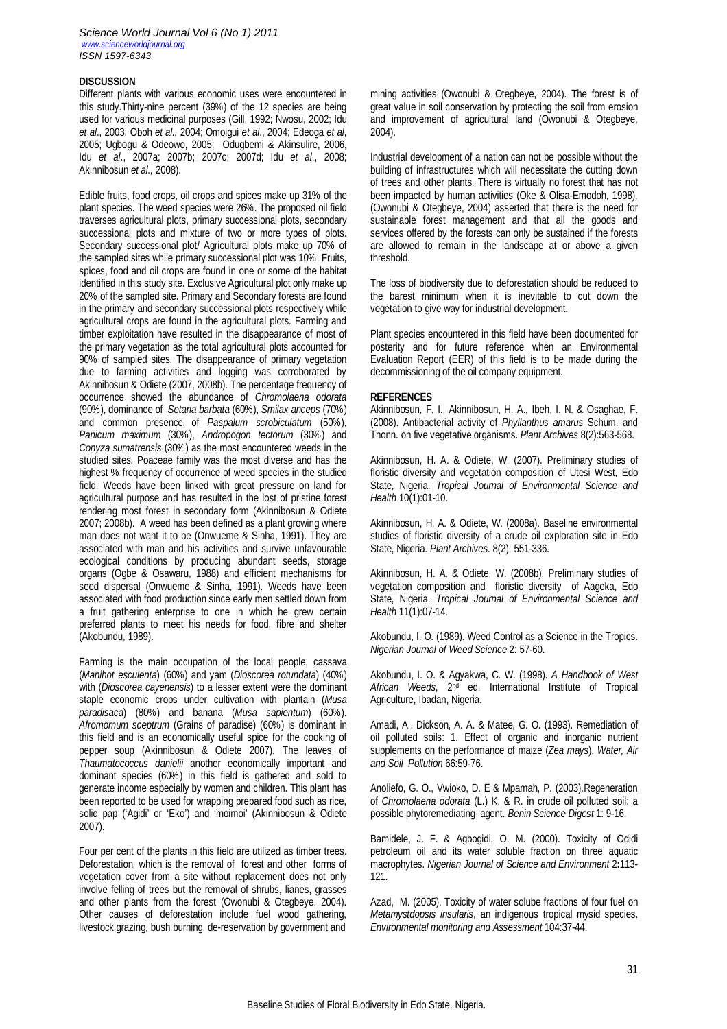#### *Science World Journal Vol 6 (No 1) 2011 www.scienceworldjournal.org ISSN 1597-6343*

## **DISCUSSION**

Different plants with various economic uses were encountered in this study.Thirty-nine percent (39%) of the 12 species are being used for various medicinal purposes (Gill, 1992; Nwosu, 2002; Idu *et al*., 2003; Oboh *et al.,* 2004; Omoigui *et al*., 2004; Edeoga *et al*, 2005; Ugbogu & Odeowo, 2005; Odugbemi & Akinsulire, 2006, Idu *et al*., 2007a; 2007b; 2007c; 2007d; Idu *et al*., 2008; Akinnibosun *et al.,* 2008).

Edible fruits, food crops, oil crops and spices make up 31% of the plant species. The weed species were 26%. The proposed oil field traverses agricultural plots, primary successional plots, secondary successional plots and mixture of two or more types of plots. Secondary successional plot/ Agricultural plots make up 70% of the sampled sites while primary successional plot was 10%. Fruits, spices, food and oil crops are found in one or some of the habitat identified in this study site. Exclusive Agricultural plot only make up 20% of the sampled site. Primary and Secondary forests are found in the primary and secondary successional plots respectively while agricultural crops are found in the agricultural plots. Farming and timber exploitation have resulted in the disappearance of most of the primary vegetation as the total agricultural plots accounted for 90% of sampled sites. The disappearance of primary vegetation due to farming activities and logging was corroborated by Akinnibosun & Odiete (2007, 2008b). The percentage frequency of occurrence showed the abundance of *Chromolaena odorata*  (90%), dominance of *Setaria barbata* (60%), *Smilax anceps* (70%) and common presence of *Paspalum scrobiculatum* (50%), *Panicum maximum* (30%), *Andropogon tectorum* (30%) and *Conyza sumatrensis* (30%) as the most encountered weeds in the studied sites. Poaceae family was the most diverse and has the highest % frequency of occurrence of weed species in the studied field. Weeds have been linked with great pressure on land for agricultural purpose and has resulted in the lost of pristine forest rendering most forest in secondary form (Akinnibosun & Odiete 2007; 2008b). A weed has been defined as a plant growing where man does not want it to be (Onwueme & Sinha, 1991). They are associated with man and his activities and survive unfavourable ecological conditions by producing abundant seeds, storage organs (Ogbe & Osawaru, 1988) and efficient mechanisms for seed dispersal (Onwueme & Sinha, 1991). Weeds have been associated with food production since early men settled down from a fruit gathering enterprise to one in which he grew certain preferred plants to meet his needs for food, fibre and shelter (Akobundu, 1989).

Farming is the main occupation of the local people, cassava (*Manihot esculenta*) (60%) and yam (*Dioscorea rotundata*) (40%) with (*Dioscorea cayenensis*) to a lesser extent were the dominant staple economic crops under cultivation with plantain (*Musa paradisaca*) (80%) and banana (*Musa sapientum*) (60%). *Afromomum sceptrum* (Grains of paradise) (60%) is dominant in this field and is an economically useful spice for the cooking of pepper soup (Akinnibosun & Odiete 2007). The leaves of *Thaumatococcus danielii* another economically important and dominant species (60%) in this field is gathered and sold to generate income especially by women and children. This plant has been reported to be used for wrapping prepared food such as rice, solid pap ('Agidi' or 'Eko') and 'moimoi' (Akinnibosun & Odiete 2007).

Four per cent of the plants in this field are utilized as timber trees. Deforestation, which is the removal of forest and other forms of vegetation cover from a site without replacement does not only involve felling of trees but the removal of shrubs, lianes, grasses and other plants from the forest (Owonubi & Otegbeye, 2004). Other causes of deforestation include fuel wood gathering, livestock grazing, bush burning, de-reservation by government and

mining activities (Owonubi & Otegbeye, 2004). The forest is of great value in soil conservation by protecting the soil from erosion and improvement of agricultural land (Owonubi & Otegbeye, 2004).

Industrial development of a nation can not be possible without the building of infrastructures which will necessitate the cutting down of trees and other plants. There is virtually no forest that has not been impacted by human activities (Oke & Olisa-Emodoh, 1998). (Owonubi & Otegbeye, 2004) asserted that there is the need for sustainable forest management and that all the goods and services offered by the forests can only be sustained if the forests are allowed to remain in the landscape at or above a given threshold.

The loss of biodiversity due to deforestation should be reduced to the barest minimum when it is inevitable to cut down the vegetation to give way for industrial development.

Plant species encountered in this field have been documented for posterity and for future reference when an Environmental Evaluation Report (EER) of this field is to be made during the decommissioning of the oil company equipment.

## **REFERENCES**

Akinnibosun, F. I., Akinnibosun, H. A., Ibeh, I. N. & Osaghae, F. (2008). Antibacterial activity of *Phyllanthus amarus* Schum. and Thonn. on five vegetative organisms. *Plant Archives* 8(2):563-568.

Akinnibosun, H. A. & Odiete, W. (2007). Preliminary studies of floristic diversity and vegetation composition of Utesi West, Edo State, Nigeria. *Tropical Journal of Environmental Science and Health* 10(1):01-10.

Akinnibosun, H. A. & Odiete, W. (2008a). Baseline environmental studies of floristic diversity of a crude oil exploration site in Edo State, Nigeria. *Plant Archives*. 8(2): 551-336.

Akinnibosun, H. A. & Odiete, W. (2008b). Preliminary studies of vegetation composition and floristic diversity of Aageka, Edo State, Nigeria. *Tropical Journal of Environmental Science and Health* 11(1):07-14.

Akobundu, I. O. (1989). Weed Control as a Science in the Tropics. *Nigerian Journal of Weed Science* 2: 57-60.

Akobundu, I. O. & Agyakwa, C. W. (1998). *A Handbook of West*  African Weeds, 2<sup>nd</sup> ed. International Institute of Tropical Agriculture, Ibadan, Nigeria.

Amadi, A., Dickson, A. A. & Matee, G. O. (1993). Remediation of oil polluted soils: 1. Effect of organic and inorganic nutrient supplements on the performance of maize (*Zea mays*). *Water, Air and Soil Pollution* 66:59-76.

Anoliefo, G. O., Vwioko, D. E & Mpamah, P. (2003).Regeneration of *Chromolaena odorata* (L.) K. & R. in crude oil polluted soil: a possible phytoremediating agent. *Benin Science Digest* 1: 9-16.

Bamidele, J. F. & Agbogidi, O. M. (2000). Toxicity of Odidi petroleum oil and its water soluble fraction on three aquatic macrophytes. *Nigerian Journal of Science and Environment* 2**:**113- 121.

Azad, M. (2005). Toxicity of water solube fractions of four fuel on *Metamystdopsis insularis*, an indigenous tropical mysid species. *Environmental monitoring and Assessment* 104:37-44.